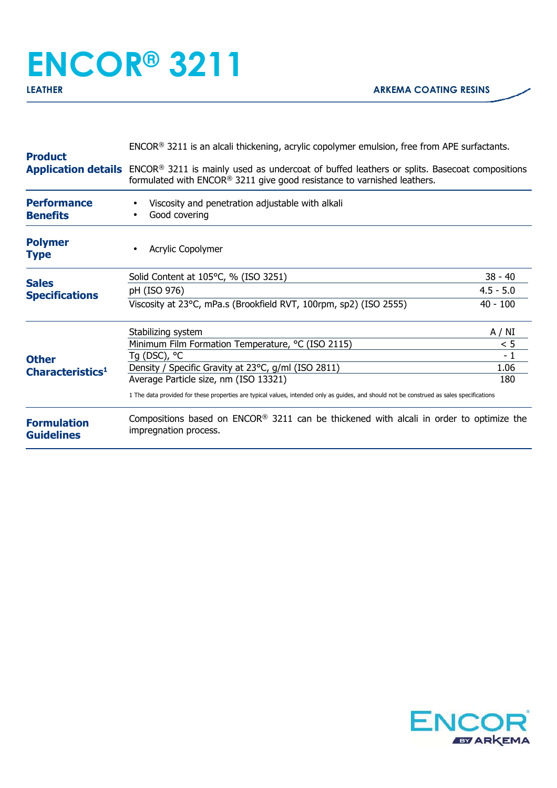## **ENCOR® 3211 LEATHER ARKEMA COATING RESINS**

| <b>Product</b>                                                                        | $ENCOR®$ 3211 is an alcali thickening, acrylic copolymer emulsion, free from APE surfactants.                                                                                                                   |             |  |
|---------------------------------------------------------------------------------------|-----------------------------------------------------------------------------------------------------------------------------------------------------------------------------------------------------------------|-------------|--|
|                                                                                       | <b>Application details</b> ENCOR <sup>®</sup> 3211 is mainly used as undercoat of buffed leathers or splits. Basecoat compositions<br>formulated with $ENCOR®$ 3211 give good resistance to varnished leathers. |             |  |
| <b>Performance</b><br><b>Benefits</b>                                                 | Viscosity and penetration adjustable with alkali<br>Good covering                                                                                                                                               |             |  |
| <b>Polymer</b><br><b>Type</b>                                                         | Acrylic Copolymer                                                                                                                                                                                               |             |  |
|                                                                                       | Solid Content at 105°C, % (ISO 3251)                                                                                                                                                                            | $38 - 40$   |  |
| <b>Sales</b><br><b>Specifications</b><br><b>Other</b><br>Characteristics <sup>1</sup> | pH (ISO 976)                                                                                                                                                                                                    | $4.5 - 5.0$ |  |
|                                                                                       | Viscosity at 23°C, mPa.s (Brookfield RVT, 100rpm, sp2) (ISO 2555)                                                                                                                                               | $40 - 100$  |  |
|                                                                                       | Stabilizing system                                                                                                                                                                                              | A / NI      |  |
|                                                                                       | Minimum Film Formation Temperature, °C (ISO 2115)                                                                                                                                                               | < 5         |  |
|                                                                                       | Tg (DSC), $^{\circ}$ C                                                                                                                                                                                          | $-1$        |  |
|                                                                                       | Density / Specific Gravity at 23°C, g/ml (ISO 2811)                                                                                                                                                             | 1.06        |  |
|                                                                                       | Average Particle size, nm (ISO 13321)                                                                                                                                                                           | 180         |  |
|                                                                                       | 1 The data provided for these properties are typical values, intended only as guides, and should not be construed as sales specifications                                                                       |             |  |
| <b>Formulation</b><br><b>Guidelines</b>                                               | Compositions based on $ENCOR^{\otimes} 3211$ can be thickened with alcali in order to optimize the<br>impregnation process.                                                                                     |             |  |
|                                                                                       |                                                                                                                                                                                                                 |             |  |